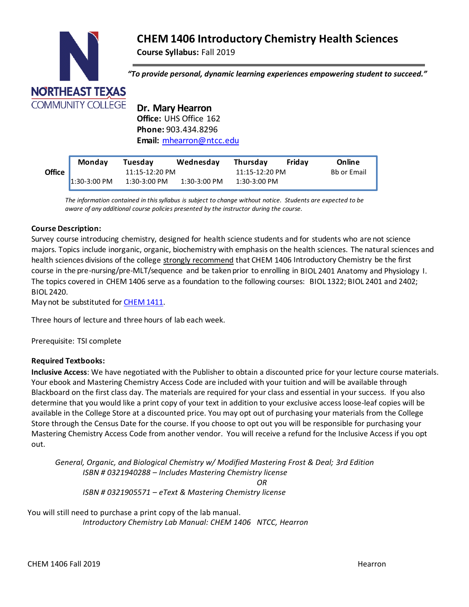# **CHEM 1406 Introductory Chemistry Health Sciences**

**Course Syllabus:** Fall 2019



*"To provide personal, dynamic learning experiences empowering student to succeed."*

**Dr. Mary Hearron Office:** UHS Office 162 **Phone:** 903.434.8296 **Email:** [mhearron@ntcc.edu](mailto:mhearron@ntcc.edu)

|               | <b>Monday</b>  | Tuesday        | Wednesday    | <b>Thursdav</b> | Fridav | Online             |
|---------------|----------------|----------------|--------------|-----------------|--------|--------------------|
| <b>Office</b> |                | 11:15-12:20 PM |              | 11:15-12:20 PM  |        | <b>Bb or Email</b> |
|               | $1:30-3:00$ PM | $1:30-3:00$ PM | 1:30-3:00 PM | $1:30-3:00$ PM  |        |                    |

**Email or Bb** *aware of any additional course policies presented by the instructor during the course. The information contained in thissyllabus is subject to change without notice. Students are expected to be*

# **Course Description:**

Survey course introducing chemistry, designed for health science students and for students who are not science majors. Topics include inorganic, organic, biochemistry with emphasis on the health sciences. The natural sciences and health sciences divisions of the college strongly recommend that CHEM 1406 Introductory Chemistry be the first course in the pre-nursing/pre-MLT/sequence and be taken prior to enrolling in BIOL 2401 Anatomy and Physiology I. The topics covered in CHEM 1406 serve as a foundation to the following courses: BIOL 1322; BIOL 2401 and 2402; BIOL 2420.

May not be substituted for **[CHEM](http://catalog.ntcc.edu/content.php?filter%5B27%5D=CHEM&filter%5B29%5D&filter%5Bcourse_type%5D=-1&filter%5Bkeyword%5D&filter%5B32%5D=1&filter%5Bcpage%5D=1&cur_cat_oid=3&expand&navoid=752&search_database=Filter&tt5818) 1411**.

Three hours of lecture and three hours of lab each week.

Prerequisite: TSI complete

## **Required Textbooks:**

**Inclusive Access**: We have negotiated with the Publisher to obtain a discounted price for your lecture course materials. Your ebook and Mastering Chemistry Access Code are included with your tuition and will be available through Blackboard on the first class day. The materials are required for your class and essential in your success. If you also determine that you would like a print copy of your text in addition to your exclusive access loose-leaf copies will be available in the College Store at a discounted price. You may opt out of purchasing your materials from the College Store through the Census Date for the course. If you choose to opt out you will be responsible for purchasing your Mastering Chemistry Access Code from another vendor. You will receive a refund for the Inclusive Access if you opt out.

*General, Organic, and Biological Chemistry w/ Modified Mastering Frost & Deal; 3rd Edition ISBN # 0321940288 – Includes Mastering Chemistry license OR ISBN # 0321905571 – eText & Mastering Chemistry license*

You will still need to purchase a print copy of the lab manual. *Introductory Chemistry Lab Manual: CHEM 1406 NTCC, Hearron*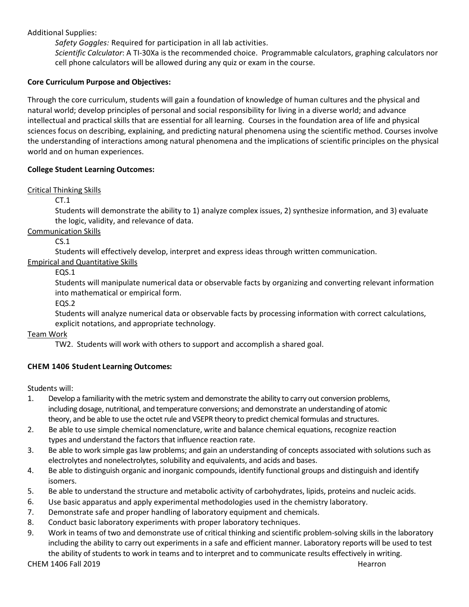Additional Supplies:

*Safety Goggles:* Required for participation in all lab activities*.*

*Scientific Calculator*: A TI-30Xa is the recommended choice. Programmable calculators, graphing calculators nor cell phone calculators will be allowed during any quiz or exam in the course.

# **Core Curriculum Purpose and Objectives:**

Through the core curriculum, students will gain a foundation of knowledge of human cultures and the physical and natural world; develop principles of personal and social responsibility for living in a diverse world; and advance intellectual and practical skills that are essential for all learning. Courses in the foundation area of life and physical sciences focus on describing, explaining, and predicting natural phenomena using the scientific method. Courses involve the understanding of interactions among natural phenomena and the implications of scientific principles on the physical world and on human experiences.

# **College Student Learning Outcomes:**

Critical Thinking Skills

CT.1

Students will demonstrate the ability to 1) analyze complex issues, 2) synthesize information, and 3) evaluate the logic, validity, and relevance of data.

Communication Skills

CS.1

Students will effectively develop, interpret and express ideas through written communication.

Empirical and Quantitative Skills

EQS.1

Students will manipulate numerical data or observable facts by organizing and converting relevant information into mathematical or empirical form.

EQS.2

Students will analyze numerical data or observable facts by processing information with correct calculations, explicit notations, and appropriate technology.

Team Work

TW2. Students will work with others to support and accomplish a shared goal.

# **CHEM 1406 Student Learning Outcomes:**

Students will:

- 1. Develop a familiarity with the metric system and demonstrate the ability to carry out conversion problems, including dosage, nutritional, and temperature conversions; and demonstrate an understanding of atomic theory, and be able to use the octet rule and VSEPR theory to predict chemical formulas and structures.
- 2. Be able to use simple chemical nomenclature, write and balance chemical equations, recognize reaction types and understand the factors that influence reaction rate.
- 3. Be able to work simple gas law problems; and gain an understanding of concepts associated with solutions such as electrolytes and nonelectrolytes, solubility and equivalents, and acids and bases.
- 4. Be able to distinguish organic and inorganic compounds, identify functional groups and distinguish and identify isomers.
- 5. Be able to understand the structure and metabolic activity of carbohydrates, lipids, proteins and nucleic acids.
- 6. Use basic apparatus and apply experimental methodologies used in the chemistry laboratory.
- 7. Demonstrate safe and proper handling of laboratory equipment and chemicals.
- 8. Conduct basic laboratory experiments with proper laboratory techniques.
- 9. Work in teams of two and demonstrate use of critical thinking and scientific problem-solving skills in the laboratory including the ability to carry out experiments in a safe and efficient manner. Laboratory reports will be used to test the ability of students to work in teams and to interpret and to communicate results effectively in writing.

CHEM 1406 Fall 2019 Hearron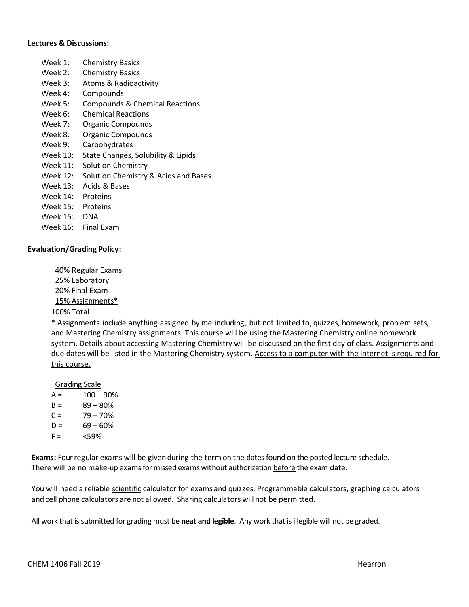#### **Lectures & Discussions:**

- Week 1: Chemistry Basics
- Week 2: Chemistry Basics
- Week 3: Atoms & Radioactivity
- Week 4: Compounds
- Week 5: Compounds & Chemical Reactions
- Week 6: Chemical Reactions
- Week 7: Organic Compounds
- Week 8: Organic Compounds
- Week 9: Carbohydrates
- Week 10: State Changes, Solubility & Lipids
- Week 11: Solution Chemistry
- Week 12: Solution Chemistry & Acids and Bases
- Week 13: Acids & Bases
- Week 14: Proteins
- Week 15: Proteins
- Week 15: DNA
- Week 16: Final Exam

#### **Evaluation/Grading Policy:**

40% Regular Exams 25% Laboratory 20% Final Exam 15% Assignments\* 100% Total

\* Assignments include anything assigned by me including, but not limited to, quizzes, homework, problem sets, and Mastering Chemistry assignments. This course will be using the Mastering Chemistry online homework system. Details about accessing Mastering Chemistry will be discussed on the first day of class. Assignments and due dates will be listed in the Mastering Chemistry system. Access to a computer with the internet is required for this course.

Grading Scale

- $A = 100 90%$  $B = 89 - 80%$
- $C = 79 70%$
- $D = 69 60%$
- $F = \frac{59\%}{20}$

**Exams:** Fourregular exams will be given during the termon the dates found on the posted lecture schedule. There will be no make-up exams for missed exams without authorization before the exam date.

You will need a reliable scientific calculator for exams and quizzes. Programmable calculators, graphing calculators and cell phone calculators are not allowed. Sharing calculators will not be permitted.

All work that is submitted for grading must be **neat and legible**. Any work that is illegible will not be graded.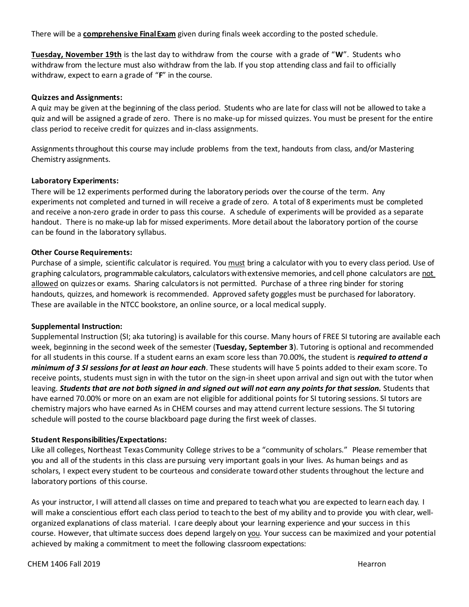There will be a **comprehensive FinalExam** given during finals week according to the posted schedule.

**Tuesday, November 19th** is the last day to withdraw from the course with a grade of "**W**". Students who withdraw from the lecture must also withdraw from the lab. If you stop attending class and fail to officially withdraw, expect to earn a grade of "**F**" in the course.

#### **Quizzes and Assignments:**

A quiz may be given at the beginning of the class period. Students who are late for class will not be allowed to take a quiz and will be assigned a grade of zero. There is no make-up for missed quizzes. You must be present for the entire class period to receive credit for quizzes and in-class assignments.

Assignmentsthroughout this course may include problems from the text, handouts from class, and/or Mastering Chemistry assignments.

#### **Laboratory Experiments:**

There will be 12 experiments performed during the laboratory periods over the course of the term. Any experiments not completed and turned in will receive a grade of zero. A total of 8 experiments must be completed and receive a non-zero grade in order to pass this course. A schedule of experiments will be provided as a separate handout. There is no make-up lab for missed experiments. More detail about the laboratory portion of the course can be found in the laboratory syllabus.

#### **Other Course Requirements:**

Purchase of a simple, scientific calculator is required. You must bring a calculator with you to every class period. Use of graphing calculators, programmable calculators, calculators withextensive memories, and cell phone calculators are not allowed on quizzes or exams. Sharing calculatorsis not permitted. Purchase of a three ring binder for storing handouts, quizzes, and homework is recommended. Approved safety goggles must be purchased for laboratory. These are available in the NTCC bookstore, an online source, or a local medical supply.

#### **Supplemental Instruction:**

Supplemental Instruction (SI; aka tutoring) is available for this course. Many hours of FREE SI tutoring are available each week, beginning in the second week of the semester (**Tuesday, September 3**). Tutoring is optional and recommended for all students in this course. If a student earns an exam score less than 70.00%, the student is *required to attend a minimum of 3 SI sessions for at least an hour each*. These students will have 5 points added to their exam score. To receive points, students must sign in with the tutor on the sign-in sheet upon arrival and sign out with the tutor when leaving. *Students that are not both signed in and signed out will not earn any points for that session.* **Students that** have earned 70.00% or more on an exam are not eligible for additional points for SI tutoring sessions. SI tutors are chemistry majors who have earned As in CHEM courses and may attend current lecture sessions. The SI tutoring schedule will posted to the course blackboard page during the first week of classes.

#### **Student Responsibilities/Expectations:**

Like all colleges, Northeast TexasCommunity College strives to be a "community of scholars." Please remember that you and all of the students in this class are pursuing very important goals in your lives. As human beings and as scholars, I expect every student to be courteous and considerate toward other students throughout the lecture and laboratory portions of this course.

As your instructor, I will attend all classes on time and prepared to teachwhat you are expected to learn each day. I will make a conscientious effort each class period to teach to the best of my ability and to provide you with clear, wellorganized explanations of class material. I care deeply about your learning experience and your success in this course. However, that ultimate success does depend largely on you. Your success can be maximized and your potential achieved by making a commitment to meet the following classroom expectations: